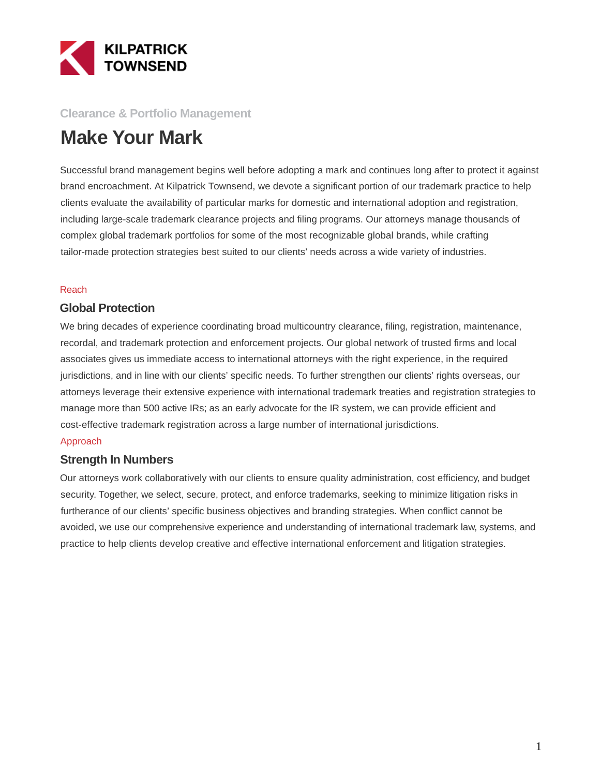

## **Clearance & Portfolio Management**

# **Make Your Mark**

Successful brand management begins well before adopting a mark and continues long after to protect it against brand encroachment. At Kilpatrick Townsend, we devote a significant portion of our trademark practice to help clients evaluate the availability of particular marks for domestic and international adoption and registration, including large-scale trademark clearance projects and filing programs. Our attorneys manage thousands of complex global trademark portfolios for some of the most recognizable global brands, while crafting tailor-made protection strategies best suited to our clients' needs across a wide variety of industries.

#### Reach

### **Global Protection**

We bring decades of experience coordinating broad multicountry clearance, filing, registration, maintenance, recordal, and trademark protection and enforcement projects. Our global network of trusted firms and local associates gives us immediate access to international attorneys with the right experience, in the required jurisdictions, and in line with our clients' specific needs. To further strengthen our clients' rights overseas, our attorneys leverage their extensive experience with international trademark treaties and registration strategies to manage more than 500 active IRs; as an early advocate for the IR system, we can provide efficient and cost-effective trademark registration across a large number of international jurisdictions.

#### Approach

### **Strength In Numbers**

Our attorneys work collaboratively with our clients to ensure quality administration, cost efficiency, and budget security. Together, we select, secure, protect, and enforce trademarks, seeking to minimize litigation risks in furtherance of our clients' specific business objectives and branding strategies. When conflict cannot be avoided, we use our comprehensive experience and understanding of international trademark law, systems, and practice to help clients develop creative and effective international enforcement and litigation strategies.